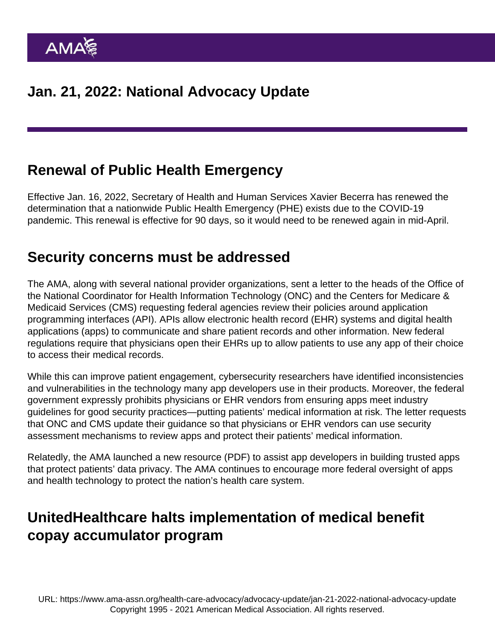# Renewal of Public Health Emergency

Effective Jan. 16, 2022, Secretary of Health and Human Services Xavier Becerra has [renewed the](https://aspr.hhs.gov/legal/PHE/Pages/COVID19-14Jan2022.aspx ) [determination](https://aspr.hhs.gov/legal/PHE/Pages/COVID19-14Jan2022.aspx ) that a nationwide Public Health Emergency (PHE) exists due to the COVID-19 pandemic. This renewal is effective for 90 days, so it would need to be renewed again in mid-April.

#### Security concerns must be addressed

The [AMA, along with several national provider organizations, sent a letter](https://searchlf.ama-assn.org/letter/documentDownload?uri=/unstructured/binary/letter/LETTERS/Coalition-Letter-to-CMS-and-ONC-on-FHIR-Based-APIs-Final.pdf ) to the heads of the Office of the National Coordinator for Health Information Technology (ONC) and the Centers for Medicare & Medicaid Services (CMS) requesting federal agencies review their policies around application programming interfaces (API). APIs allow electronic health record (EHR) systems and digital health applications (apps) to communicate and share patient records and other information. New federal regulations require that physicians open their EHRs up to allow patients to use any app of their choice to access their medical records.

While this can improve patient engagement, cybersecurity researchers have identified inconsistencies and vulnerabilities in the technology many app developers use in their products. Moreover, the federal government expressly prohibits physicians or EHR vendors from ensuring apps meet industry guidelines for good security practices—putting patients' medical information at risk. The letter requests that ONC and CMS update their guidance so that physicians or EHR vendors can use security assessment mechanisms to review apps and protect their patients' medical information.

Relatedly, the AMA [launched a new resource](https://www.ama-assn.org/system/files/privacy-principles-by-design.pdf ) (PDF) to assist app developers in building trusted apps that protect patients' data privacy. The AMA continues to encourage more federal oversight of apps and health technology to protect the nation's health care system.

# UnitedHealthcare halts implementation of medical benefit copay accumulator program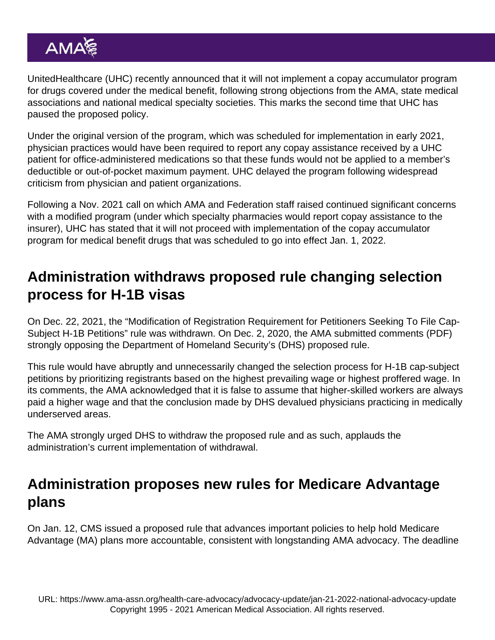UnitedHealthcare (UHC) recently announced that it will not implement a copay accumulator program for drugs covered under the medical benefit, following strong objections from the AMA, state medical associations and national medical specialty societies. This marks the second time that UHC has paused the proposed policy.

Under the original version of the program, which was scheduled for implementation in early 2021, physician practices would have been required to report any copay assistance received by a UHC patient for office-administered medications so that these funds would not be applied to a member's deductible or out-of-pocket maximum payment. UHC delayed the program following widespread criticism from physician and patient organizations.

Following a Nov. 2021 call on which AMA and Federation staff raised continued significant concerns with a modified program (under which specialty pharmacies would report copay assistance to the insurer), UHC has stated that it will not proceed with implementation of the copay accumulator program for medical benefit drugs that was scheduled to go into effect Jan. 1, 2022.

## Administration withdraws proposed rule changing selection process for H-1B visas

On Dec. 22, 2021, the "Modification of Registration Requirement for Petitioners Seeking To File Cap-Subject H-1B Petitions" rule was [withdrawn](https://www.federalregister.gov/documents/2021/12/22/2021-27714/modification-of-registration-requirement-for-petitioners-seeking-to-file-cap-subject-h-1b-petitions ). On Dec. 2, 2020, the AMA [submitted comments](https://searchlf.ama-assn.org/letter/documentDownload?uri=/unstructured/binary/letter/LETTERS/2020-12-2-Letter-to-Wolf-re-H-1B-Petitions-v2.pdf) (PDF) strongly opposing the Department of Homeland Security's (DHS) proposed rule.

This rule would have abruptly and unnecessarily changed the selection process for H-1B cap-subject petitions by prioritizing registrants based on the highest prevailing wage or highest proffered wage. In its comments, the AMA acknowledged that it is false to assume that higher-skilled workers are always paid a higher wage and that the conclusion made by DHS devalued physicians practicing in medically underserved areas.

The AMA strongly urged DHS to withdraw the proposed rule and as such, applauds the administration's current implementation of withdrawal.

### Administration proposes new rules for Medicare Advantage plans

On Jan. 12, CMS issued a proposed rule that advances important policies to help hold Medicare Advantage (MA) plans more accountable, consistent with longstanding AMA advocacy. The deadline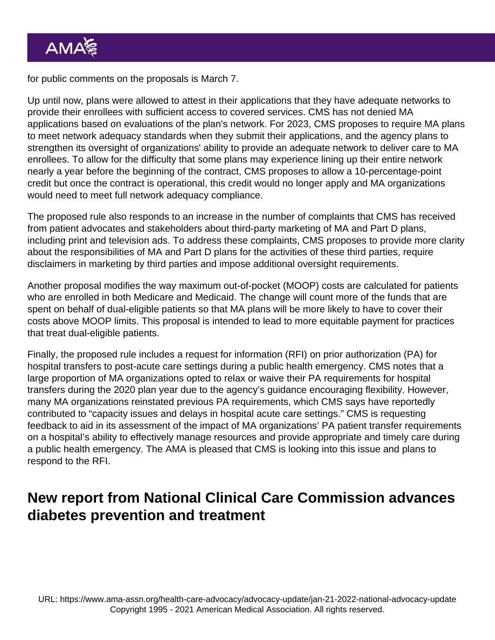for public comments on the proposals is March 7.

Up until now, plans were allowed to attest in their applications that they have adequate networks to provide their enrollees with sufficient access to covered services. CMS has not denied MA applications based on evaluations of the plan's network. For 2023, CMS proposes to require MA plans to meet network adequacy standards when they submit their applications, and the agency plans to strengthen its oversight of organizations' ability to provide an adequate network to deliver care to MA enrollees. To allow for the difficulty that some plans may experience lining up their entire network nearly a year before the beginning of the contract, CMS proposes to allow a 10-percentage-point credit but once the contract is operational, this credit would no longer apply and MA organizations would need to meet full network adequacy compliance.

The proposed rule also responds to an increase in the number of complaints that CMS has received from patient advocates and stakeholders about third-party marketing of MA and Part D plans, including print and television ads. To address these complaints, CMS proposes to provide more clarity about the responsibilities of MA and Part D plans for the activities of these third parties, require disclaimers in marketing by third parties and impose additional oversight requirements.

Another proposal modifies the way maximum out-of-pocket (MOOP) costs are calculated for patients who are enrolled in both Medicare and Medicaid. The change will count more of the funds that are spent on behalf of dual-eligible patients so that MA plans will be more likely to have to cover their costs above MOOP limits. This proposal is intended to lead to more equitable payment for practices that treat dual-eligible patients.

Finally, the proposed rule includes a request for information (RFI) on prior authorization (PA) for hospital transfers to post-acute care settings during a public health emergency. CMS notes that a large proportion of MA organizations opted to relax or waive their PA requirements for hospital transfers during the 2020 plan year due to the agency's guidance encouraging flexibility. However, many MA organizations reinstated previous PA requirements, which CMS says have reportedly contributed to "capacity issues and delays in hospital acute care settings." CMS is requesting feedback to aid in its assessment of the impact of MA organizations' PA patient transfer requirements on a hospital's ability to effectively manage resources and provide appropriate and timely care during a public health emergency. The AMA is pleased that CMS is looking into this issue and plans to respond to the RFI.

## New report from National Clinical Care Commission advances diabetes prevention and treatment